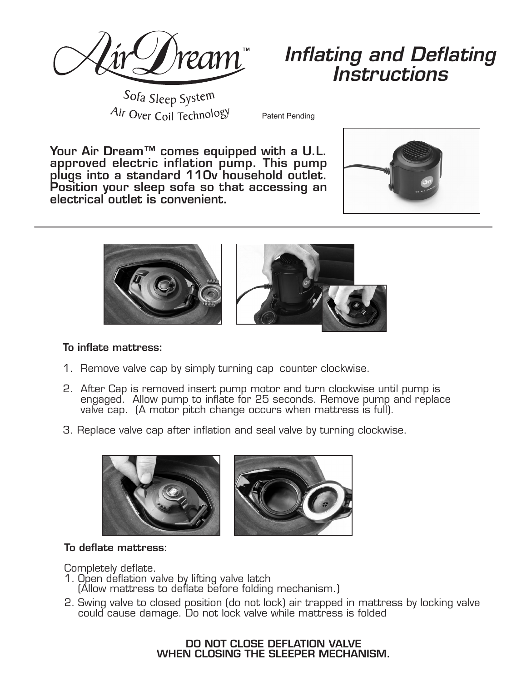

**Inflating and Deflating Instructions**

Sofa Sleep System Air Over Coil Technology

Patent Pending

**Your Air Dream™ comes equipped with a U.L. approved electric inflation pump. This pump plugs into a standard 110v household outlet. Position your sleep sofa so that accessing an electrical outlet is convenient.**







## **To inflate mattress:**

- 1. Remove valve cap by simply turning cap counter clockwise.
- 2. After Cap is removed insert pump motor and turn clockwise until pump is engaged. Allow pump to inflate for 25 seconds. Remove pump and replace valve cap. (A motor pitch change occurs when mattress is full).
- 3. Replace valve cap after inflation and seal valve by turning clockwise.



## **To deflate mattress:**

Completely deflate.

- 1. Open deflation valve by lifting valve latch (Allow mattress to deflate before folding mechanism.)
- 2. Swing valve to closed position (do not lock) air trapped in mattress by locking valve could cause damage. Do not lock valve while mattress is folded

## **DO NOT CLOSE DEFLATION VALVE WHEN CLOSING THE SLEEPER MECHANISM.**